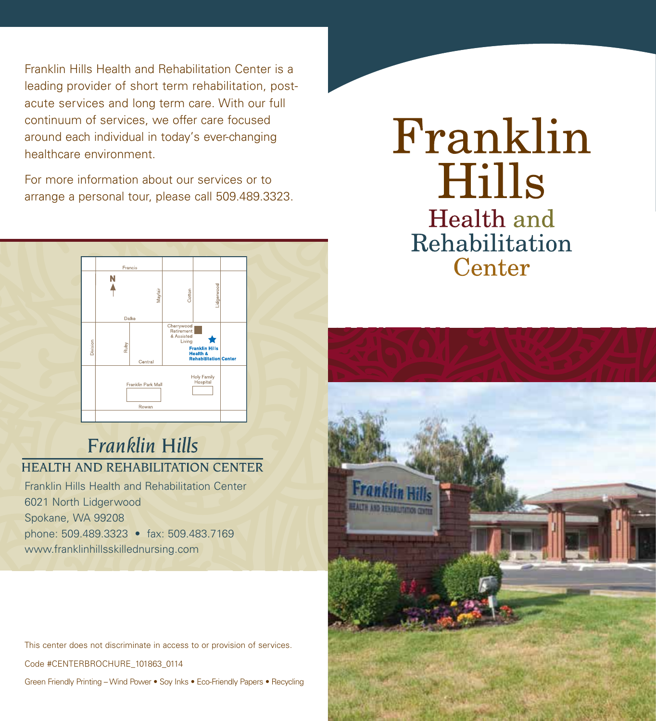Franklin Hills Health and Rehabilitation Center is a leading provider of short term rehabilitation, postacute services and long term care. With our full continuum of services, we offer care focused around each individual in today's ever-changing healthcare environment.

For more information about our services or to arrange a personal tour, please call 509.489.3323.



## **Franklin Hills HEALTH AND REHABILITATION CENTER**

Franklin Hills Health and Rehabilitation Center 6021 North Lidgerwood Spokane, WA 99208 phone: 509.489.3323 • fax: 509.483.7169 www.franklinhillsskillednursing.com

This center does not discriminate in access to or provision of services.

Code #CENTERBROCHURE\_101863\_0114

Green Friendly Printing –Wind Power • Soy Inks • Eco-Friendly Papers • Recycling

# Franklin Hills Health and Rehabilitation Center